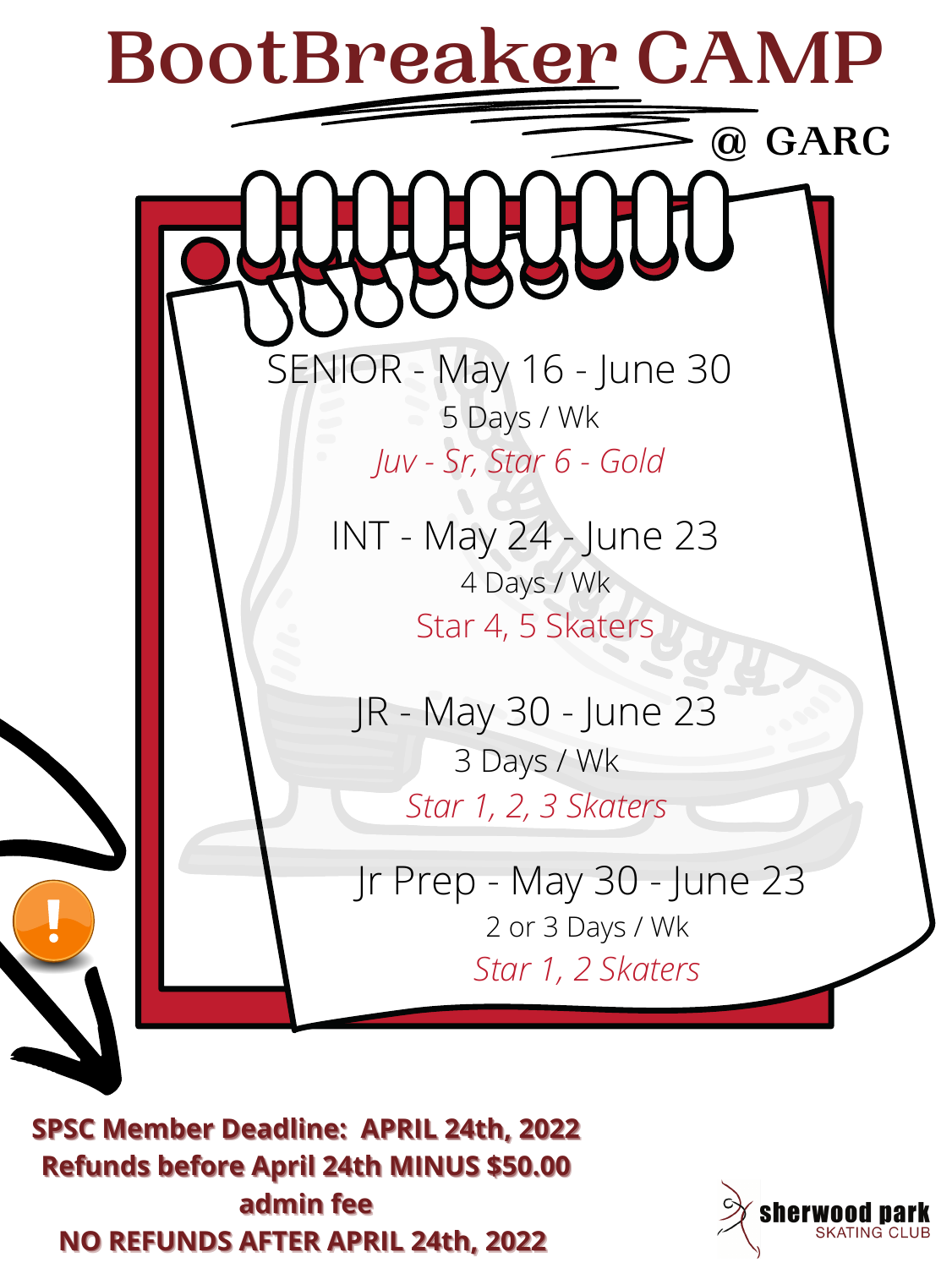# **BootBreaker CAMP**

 **@ GARC**

SENIOR - May 16 - June 30 5 Days / Wk *Juv - Sr, Star 6 - Gold*

INT - May 24 - June 23 4 Days / Wk Star 4, 5 Skaters



**SPSC Member Deadline: APRIL 24th, 2022 Refunds before April 24th MINUS \$50.00 admin** fee **NO REFUNDS AFTER APRIL 24th, 2022** 

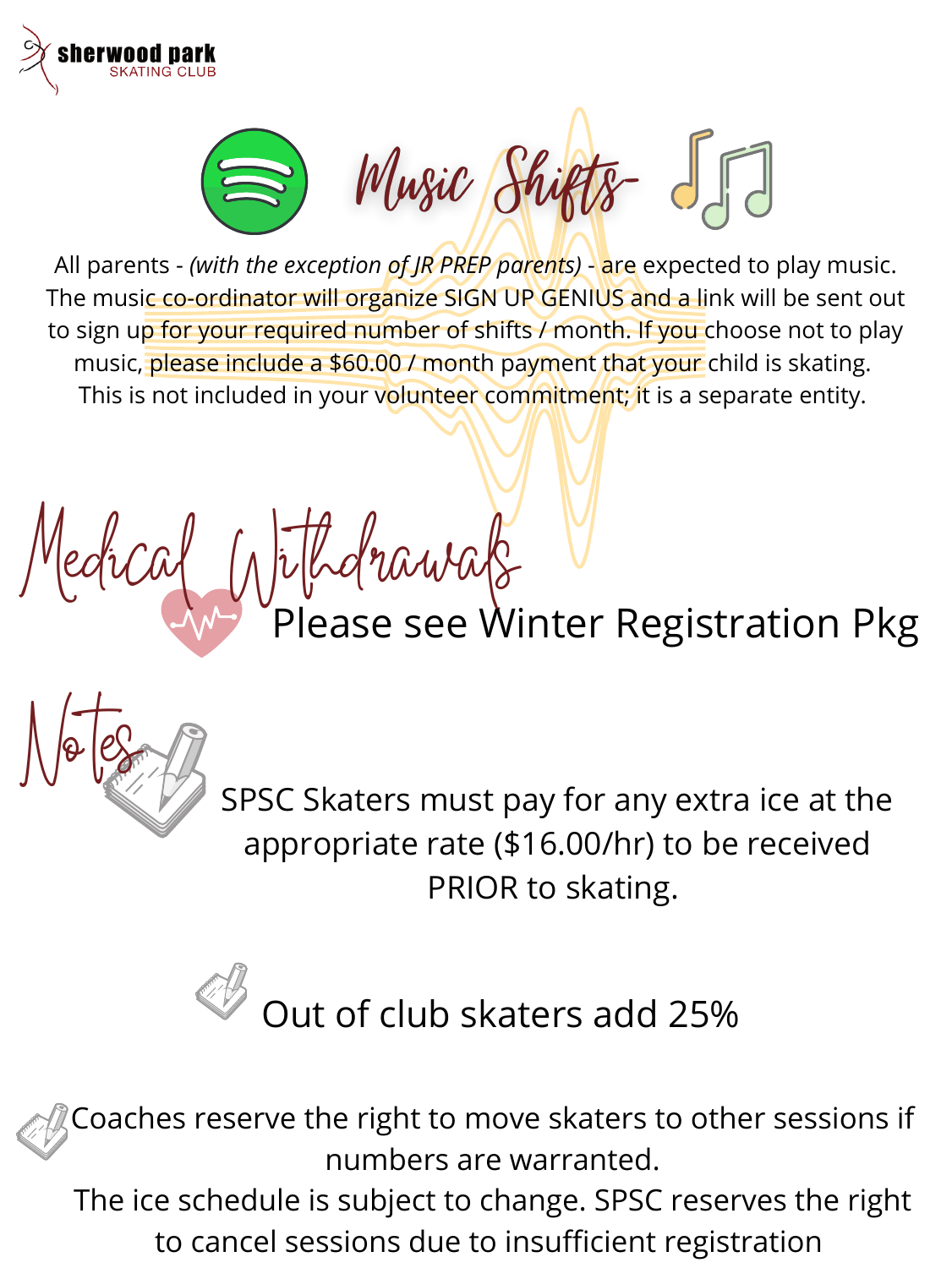



All parents - *(with the exception of JR PREP parents)* - are expected to play music. The music co-ordinator will organize SIGN UP GENIUS and a link will be sent out to sign up for your required number of shifts / month. If you choose not to play music, please include a \$60.00 / month payment that your child is skating. This is not included in your volunteer commitment; it is a separate entity.

Medical Withdrawals Please see Winter Registration Pkg



SPSC Skaters must pay for any extra ice at the appropriate rate (\$16.00/hr) to be received PRIOR to skating.

Coaches reserve the right to move skaters to other sessions if numbers are warranted.

The ice schedule is subject to change. SPSC reserves the right to cancel sessions due to insufficient registration

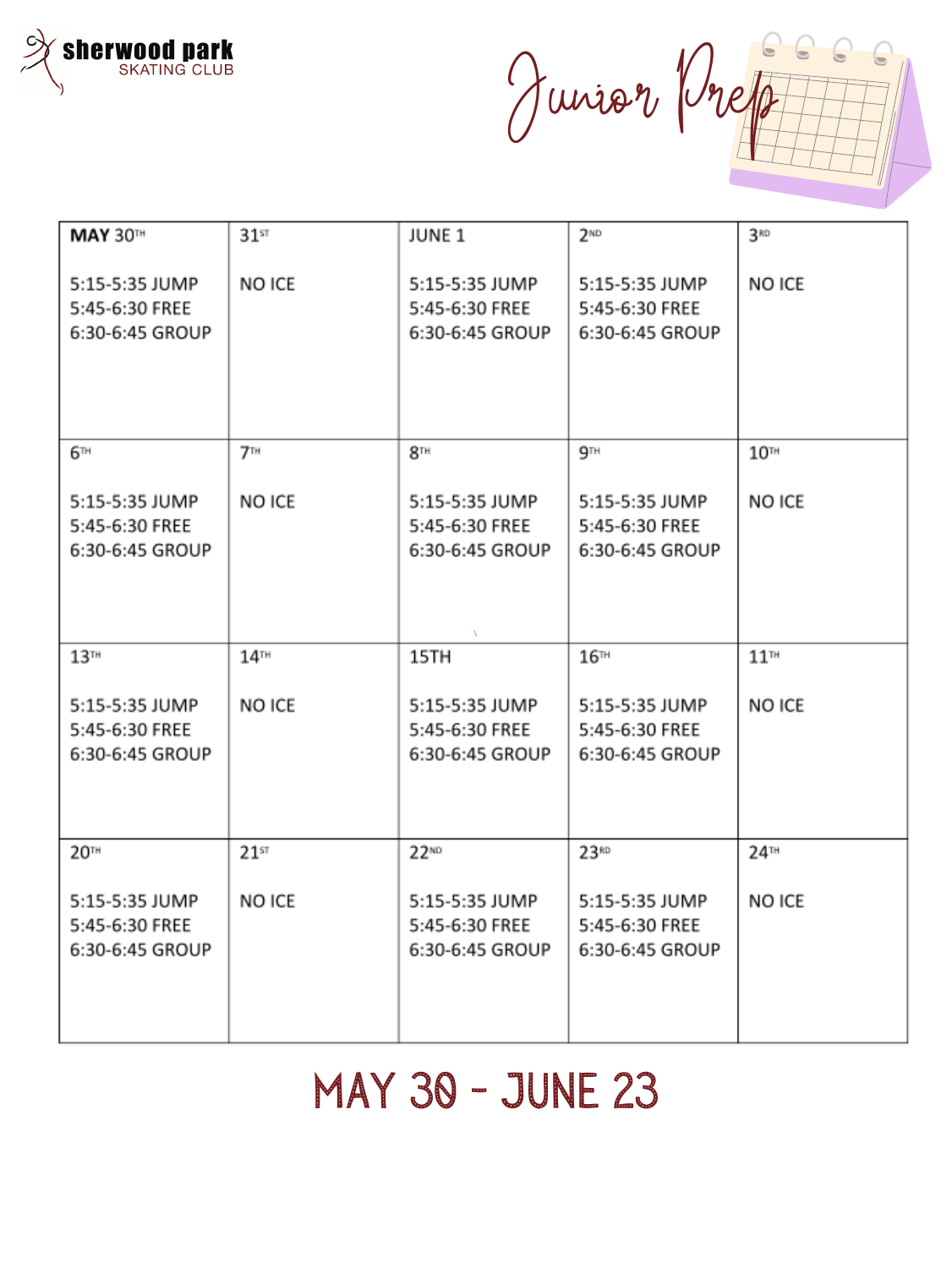

Junior Prep  $\bullet$ 

| <b>MAY 30TH</b>                                     | $31$ st                         | <b>JUNE 1</b>                                       | 2 <sup>ND</sup>                                     | 3RD                |
|-----------------------------------------------------|---------------------------------|-----------------------------------------------------|-----------------------------------------------------|--------------------|
| 5:15-5:35 JUMP<br>5:45-6:30 FREE<br>6:30-6:45 GROUP | NO ICE                          | 5:15-5:35 JUMP<br>5:45-6:30 FREE<br>6:30-6:45 GROUP | 5:15-5:35 JUMP<br>5:45-6:30 FREE<br>6:30-6:45 GROUP | NO ICE             |
| $6^{\text{th}}$                                     | $7^{\scriptscriptstyle\rm{TH}}$ | 8 <sup>TH</sup>                                     | 9 <sup>TH</sup>                                     | 10 <sup>TH</sup>   |
| 5:15-5:35 JUMP<br>5:45-6:30 FREE<br>6:30-6:45 GROUP | NO ICE                          | 5:15-5:35 JUMP<br>5:45-6:30 FREE<br>6:30-6:45 GROUP | 5:15-5:35 JUMP<br>5:45-6:30 FREE<br>6:30-6:45 GROUP | NO ICE             |
| 13 <sup>TH</sup>                                    | $14$ <sup>TH</sup>              | 15TH                                                | 16m                                                 | $11$ <sup>m</sup>  |
| 5:15-5:35 JUMP<br>5:45-6:30 FREE<br>6:30-6:45 GROUP | NO ICE                          | 5:15-5:35 JUMP<br>5:45-6:30 FREE<br>6:30-6:45 GROUP | 5:15-5:35 JUMP<br>5:45-6:30 FREE<br>6:30-6:45 GROUP | NO ICE             |
| 20 <sup>TH</sup>                                    | $21$ st                         | $22^{ND}$                                           | 23 <sup>RD</sup>                                    | $24$ <sup>TH</sup> |
| 5:15-5:35 JUMP<br>5:45-6:30 FREE<br>6:30-6:45 GROUP | NO ICE                          | 5:15-5:35 JUMP<br>5:45-6:30 FREE<br>6:30-6:45 GROUP | 5:15-5:35 JUMP<br>5:45-6:30 FREE<br>6:30-6:45 GROUP | NO ICE             |

### May 30 - June 23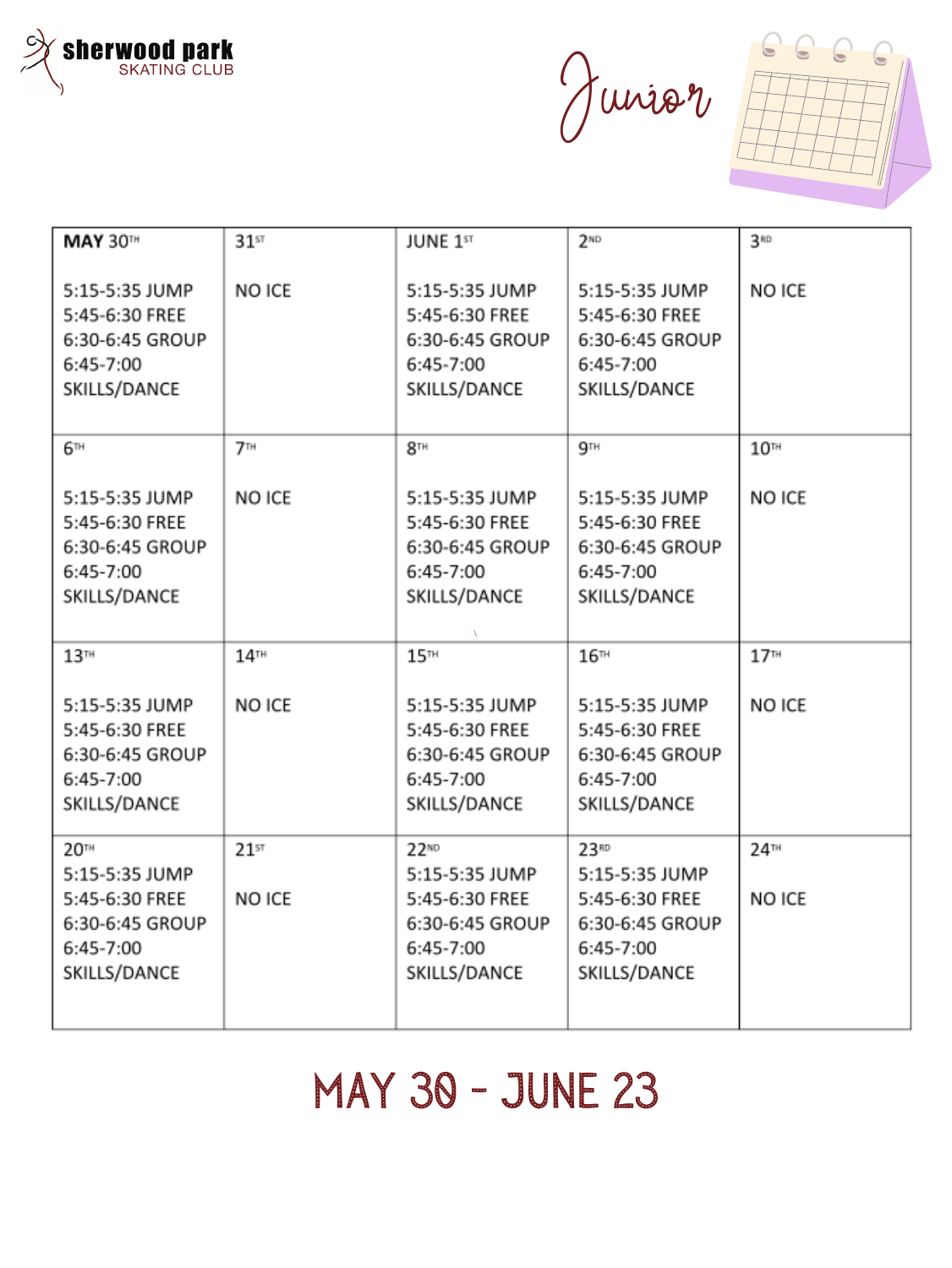

Junior



| <b>MAY 30TH</b>                                                                  | $31$ st            | <b>JUNE 1st</b>                                                                    | 2 <sup>ND</sup>                                                                  | 3RD                |
|----------------------------------------------------------------------------------|--------------------|------------------------------------------------------------------------------------|----------------------------------------------------------------------------------|--------------------|
| 5:15-5:35 JUMP<br>5:45-6:30 FREE<br>6:30-6:45 GROUP<br>6:45-7:00<br>SKILLS/DANCE | NO ICE             | 5:15-5:35 JUMP<br>5:45-6:30 FREE<br>6:30-6:45 GROUP<br>$6:45-7:00$<br>SKILLS/DANCE | 5:15-5:35 JUMP<br>5:45-6:30 FREE<br>6:30-6:45 GROUP<br>6:45-7:00<br>SKILLS/DANCE | NO ICE             |
| 6™                                                                               | 7H                 | 8 <sup>TH</sup>                                                                    | $9^{\rm TH}$                                                                     | 10 <sup>TH</sup>   |
| 5:15-5:35 JUMP<br>5:45-6:30 FREE<br>6:30-6:45 GROUP<br>6:45-7:00<br>SKILLS/DANCE | NO ICE             | 5:15-5:35 JUMP<br>5:45-6:30 FREE<br>6:30-6:45 GROUP<br>6:45-7:00<br>SKILLS/DANCE   | 5:15-5:35 JUMP<br>5:45-6:30 FREE<br>6:30-6:45 GROUP<br>6:45-7:00<br>SKILLS/DANCE | NO ICE             |
| 13 <sup>TH</sup>                                                                 | $14$ <sup>TH</sup> | 15 <sup>TH</sup>                                                                   | 16m                                                                              | 17 <sup>TH</sup>   |
| 5:15-5:35 JUMP<br>5:45-6:30 FREE<br>6:30-6:45 GROUP<br>6:45-7:00<br>SKILLS/DANCE | NO ICE             | 5:15-5:35 JUMP<br>5:45-6:30 FREE<br>6:30-6:45 GROUP<br>6:45-7:00<br>SKILLS/DANCE   | 5:15-5:35 JUMP<br>5:45-6:30 FREE<br>6:30-6:45 GROUP<br>6:45-7:00<br>SKILLS/DANCE | NO ICE             |
| 20 <sup>TH</sup>                                                                 | $21^{51}$          | $22^{ND}$                                                                          | 23 <sup>RD</sup>                                                                 | $24$ <sup>TH</sup> |
| 5:15-5:35 JUMP<br>5:45-6:30 FREE<br>6:30-6:45 GROUP<br>6:45-7:00<br>SKILLS/DANCE | NO ICE             | 5:15-5:35 JUMP<br>5:45-6:30 FREE<br>6:30-6:45 GROUP<br>6:45-7:00<br>SKILLS/DANCE   | 5:15-5:35 JUMP<br>5:45-6:30 FREE<br>6:30-6:45 GROUP<br>6:45-7:00<br>SKILLS/DANCE | NO ICE             |

### May 30 - June 23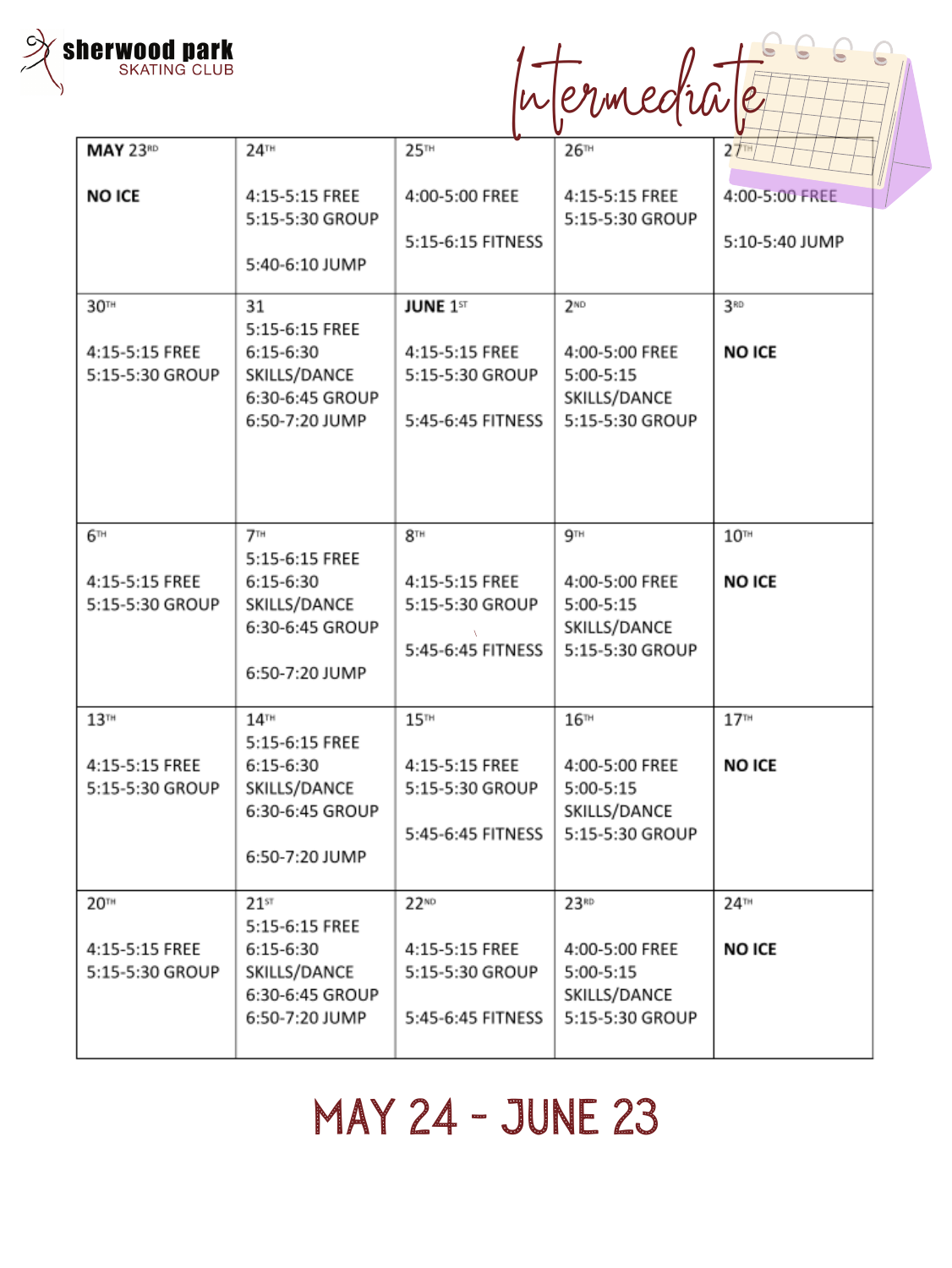

|  | wermediale |  |
|--|------------|--|
|  |            |  |

G

 $\overline{\bullet}$ 

|                  |                                    |                   | $\blacksquare$  |                  |
|------------------|------------------------------------|-------------------|-----------------|------------------|
| <b>MAY 23RD</b>  | 24 <sup>TH</sup>                   | 25 <sup>m</sup>   | 26m             | 27 <sub>TH</sub> |
| <b>NO ICE</b>    | 4:15-5:15 FREE                     | 4:00-5:00 FREE    | 4:15-5:15 FREE  | 4:00-5:00 FREE   |
|                  | 5:15-5:30 GROUP                    |                   | 5:15-5:30 GROUP |                  |
|                  |                                    | 5:15-6:15 FITNESS |                 | 5:10-5:40 JUMP   |
|                  | 5:40-6:10 JUMP                     |                   |                 |                  |
| 30 <sup>TH</sup> | 31                                 | <b>JUNE 1ST</b>   | 2 <sup>ND</sup> | 3RD              |
|                  | 5:15-6:15 FREE                     |                   |                 |                  |
| 4:15-5:15 FREE   | 6:15-6:30                          | 4:15-5:15 FREE    | 4:00-5:00 FREE  | <b>NO ICE</b>    |
| 5:15-5:30 GROUP  | SKILLS/DANCE                       | 5:15-5:30 GROUP   | $5:00-5:15$     |                  |
|                  | 6:30-6:45 GROUP                    |                   | SKILLS/DANCE    |                  |
|                  | 6:50-7:20 JUMP                     | 5:45-6:45 FITNESS | 5:15-5:30 GROUP |                  |
|                  |                                    |                   |                 |                  |
|                  |                                    |                   |                 |                  |
|                  |                                    |                   |                 |                  |
| 6™               | $7^{\scriptscriptstyle \text{TH}}$ | 8 <sup>TH</sup>   | 9 <sup>TH</sup> | 10 <sup>TH</sup> |
|                  | 5:15-6:15 FREE                     |                   |                 |                  |
| 4:15-5:15 FREE   | $6:15-6:30$                        | 4:15-5:15 FREE    | 4:00-5:00 FREE  | <b>NO ICE</b>    |
| 5:15-5:30 GROUP  | SKILLS/DANCE                       | 5:15-5:30 GROUP   | $5:00-5:15$     |                  |
|                  |                                    |                   |                 |                  |
|                  | 6:30-6:45 GROUP                    |                   | SKILLS/DANCE    |                  |
|                  |                                    | 5:45-6:45 FITNESS | 5:15-5:30 GROUP |                  |

### 6:50-7:20 JUMP  $15<sup>TH</sup>$  $17<sup>TH</sup>$  $13<sup>TH</sup>$  $14$ <sup>TH</sup>  $16m$ 5:15-6:15 FREE 4:15-5:15 FREE 4:15-5:15 FREE **NO ICE**  $6:15-6:30$ 4:00-5:00 FREE SKILLS/DANCE 5:15-5:30 GROUP 5:15-5:30 GROUP  $5:00-5:15$ SKILLS/DANCE 6:30-6:45 GROUP 5:15-5:30 GROUP 5:45-6:45 FITNESS 6:50-7:20 JUMP 20TH  $22^{ND}$ 23<sup>RD</sup>  $24$ <sup>TH</sup>  $21$ <sup>ST</sup> 5:15-6:15 FREE 4:15-5:15 FREE 6:15-6:30 4:15-5:15 FREE 4:00-5:00 FREE **NO ICE** 5:15-5:30 GROUP SKILLS/DANCE 5:15-5:30 GROUP  $5:00-5:15$ SKILLS/DANCE 6:30-6:45 GROUP 6:50-7:20 JUMP 5:45-6:45 FITNESS 5:15-5:30 GROUP

### May 24 - June 23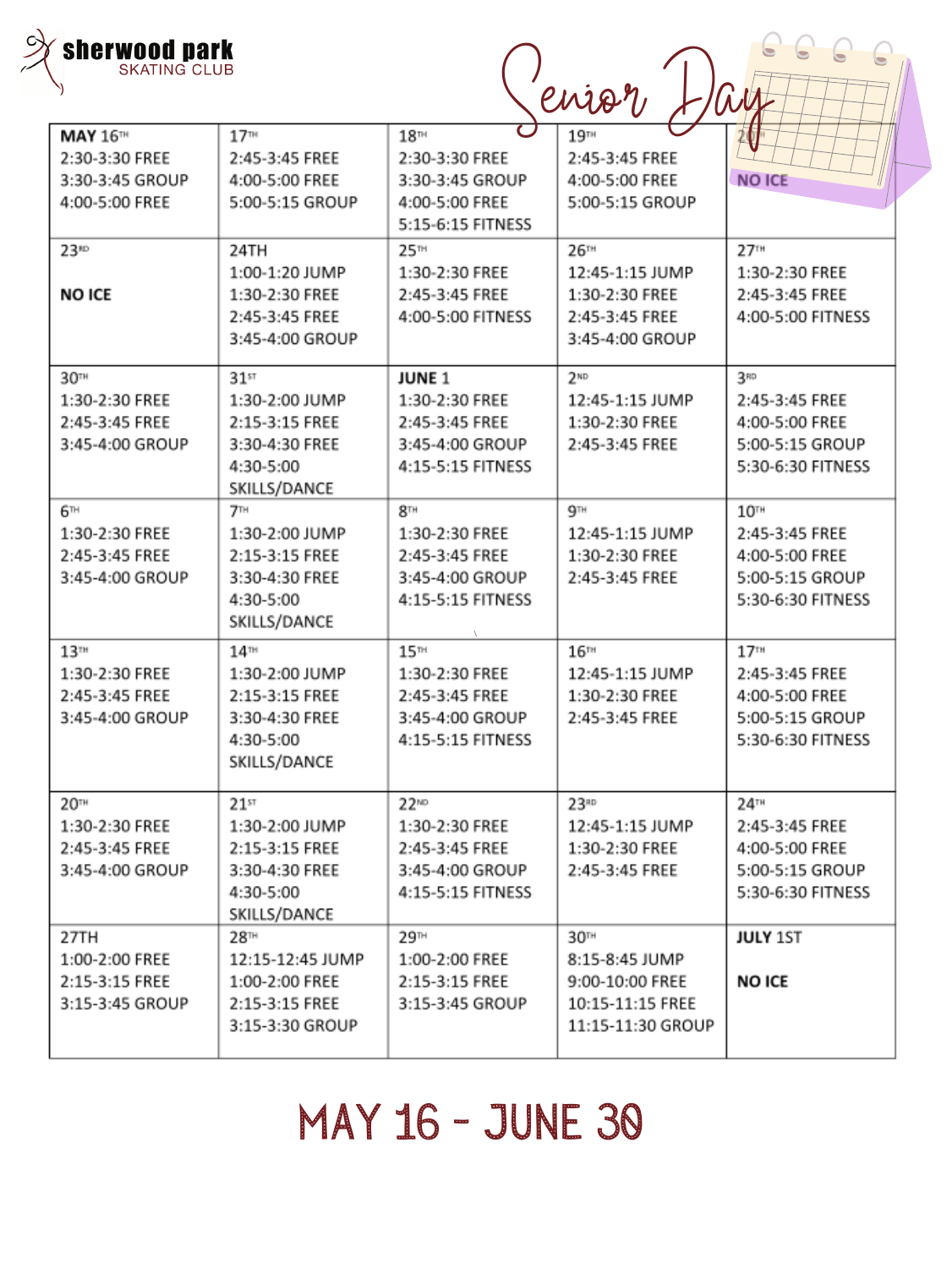| sherwood park<br><b>SKATING CLUB</b>                                    |                                                                                                     |                                                                                             | enior                                                                                          |                                                                                                |
|-------------------------------------------------------------------------|-----------------------------------------------------------------------------------------------------|---------------------------------------------------------------------------------------------|------------------------------------------------------------------------------------------------|------------------------------------------------------------------------------------------------|
| <b>MAY 16TH</b><br>2:30-3:30 FREE<br>3:30-3:45 GROUP<br>4:00-5:00 FREE  | 17 <sup>m</sup><br>2:45-3:45 FREE<br>4:00-5:00 FREE<br>5:00-5:15 GROUP                              | 18 <sup>m</sup><br>2:30-3:30 FREE<br>3:30-3:45 GROUP<br>4:00-5:00 FREE<br>5:15-6:15 FITNESS | 19 <sup>TH</sup><br>2:45-3:45 FREE<br>4:00-5:00 FREE<br>5:00-5:15 GROUP                        | <b>NO ICE</b>                                                                                  |
| 23 <sup>10</sup><br><b>NO ICE</b>                                       | 24TH<br>1:00-1:20 JUMP<br>1:30-2:30 FREE<br>2:45-3:45 FREE<br>3:45-4:00 GROUP                       | 25 <sup>m</sup><br>1:30-2:30 FREE<br>2:45-3:45 FREE<br>4:00-5:00 FITNESS                    | 26™<br>12:45-1:15 JUMP<br>1:30-2:30 FREE<br>2:45-3:45 FREE<br>3:45-4:00 GROUP                  | 27 <sup>TH</sup><br>1:30-2:30 FREE<br>2:45-3:45 FREE<br>4:00-5:00 FITNESS                      |
| 30 <sup>th</sup><br>1:30-2:30 FREE<br>2:45-3:45 FREE<br>3:45-4:00 GROUP | 31 <sup>st</sup><br>1:30-2:00 JUMP<br>2:15-3:15 FREE<br>3:30-4:30 FREE<br>4:30-5:00<br>SKILLS/DANCE | <b>JUNE 1</b><br>1:30-2:30 FREE<br>2:45-3:45 FREE<br>3:45-4:00 GROUP<br>4:15-5:15 FITNESS   | 2 <sup>ND</sup><br>12:45-1:15 JUMP<br>1:30-2:30 FREE<br>2:45-3:45 FREE                         | 3 <sup>RD</sup><br>2:45-3:45 FREE<br>4:00-5:00 FREE<br>5:00-5:15 GROUP<br>5:30-6:30 FITNESS    |
| 6™<br>1:30-2:30 FREE<br>2:45-3:45 FREE<br>3:45-4:00 GROUP               | <b>7TH</b><br>1:30-2:00 JUMP<br>2:15-3:15 FREE<br>3:30-4:30 FREE<br>4:30-5:00<br>SKILLS/DANCE       | 8 <sup>TH</sup><br>1:30-2:30 FREE<br>2:45-3:45 FREE<br>3:45-4:00 GROUP<br>4:15-5:15 FITNESS | gтн<br>12:45-1:15 JUMP<br>1:30-2:30 FREE<br>2:45-3:45 FREE                                     | 10 <sup>TH</sup><br>2:45-3:45 FREE<br>4:00-5:00 FREE<br>5:00-5:15 GROUP<br>5:30-6:30 FITNESS   |
| 13 <sup>TH</sup><br>1:30-2:30 FREE<br>2:45-3:45 FREE<br>3:45-4:00 GROUP | 14 <sup>m</sup><br>1:30-2:00 JUMP<br>2:15-3:15 FREE<br>3:30-4:30 FREE<br>4:30-5:00<br>SKILLS/DANCE  | 15 <sup>m</sup><br>1:30-2:30 FREE<br>2:45-3:45 FREE<br>3:45-4:00 GROUP<br>4:15-5:15 FITNESS | 16 <sup>TH</sup><br>12:45-1:15 JUMP<br>1:30-2:30 FREE<br>2:45-3:45 FREE                        | 17 <sup>TH</sup><br>2:45-3:45 FREE<br>4:00-5:00 FREE<br>5:00-5:15 GROUP<br>5:30-6:30 FITNESS   |
| <b>20TH</b><br>1:30-2:30 FREE<br>2:45-3:45 FREE<br>3:45-4:00 GROUP      | $21$ st<br>1:30-2:00 JUMP<br>2:15-3:15 FREE<br>3:30-4:30 FREE<br>4:30-5:00<br>SKILLS/DANCE          | $22^{ND}$<br>1:30-2:30 FREE<br>2:45-3:45 FREE<br>3:45-4:00 GROUP<br>4:15-5:15 FITNESS       | 23 <sup>RD</sup><br>12:45-1:15 JUMP<br>1:30-2:30 FREE<br>2:45-3:45 FREE                        | $24$ <sup>TH</sup><br>2:45-3:45 FREE<br>4:00-5:00 FREE<br>5:00-5:15 GROUP<br>5:30-6:30 FITNESS |
| 27TH<br>1:00-2:00 FREE<br>2:15-3:15 FREE<br>3:15-3:45 GROUP             | 28™<br>12:15-12:45 JUMP<br>1:00-2:00 FREE<br>2:15-3:15 FREE<br>3:15-3:30 GROUP                      | 29 <sup>TH</sup><br>1:00-2:00 FREE<br>2:15-3:15 FREE<br>3:15-3:45 GROUP                     | 30 <sup>th</sup><br>8:15-8:45 JUMP<br>9:00-10:00 FREE<br>10:15-11:15 FREE<br>11:15-11:30 GROUP | <b>JULY 1ST</b><br><b>NO ICE</b>                                                               |

## May 16 - June 30